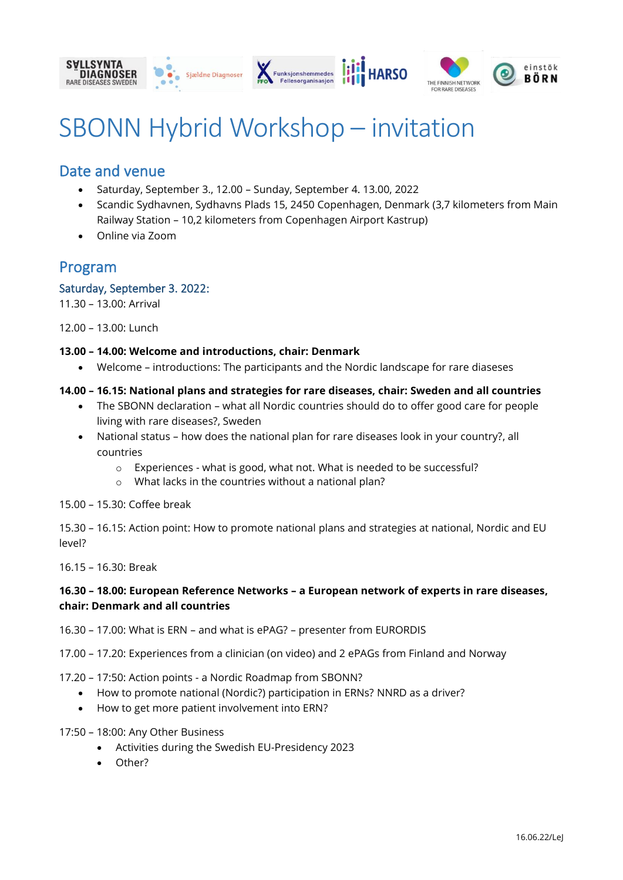







# SBONN Hybrid Workshop – invitation

## Date and venue

- Saturday, September 3., 12.00 Sunday, September 4. 13.00, 2022
- Scandic Sydhavnen, Sydhavns Plads 15, 2450 Copenhagen, Denmark (3,7 kilometers from Main Railway Station – 10,2 kilometers from Copenhagen Airport Kastrup)
- Online via Zoom

## Program

#### Saturday, September 3. 2022:

11.30 – 13.00: Arrival

12.00 – 13.00: Lunch

#### **13.00 – 14.00: Welcome and introductions, chair: Denmark**

• Welcome – introductions: The participants and the Nordic landscape for rare diaseses

#### **14.00 – 16.15: National plans and strategies for rare diseases, chair: Sweden and all countries**

- The SBONN declaration what all Nordic countries should do to offer good care for people living with rare diseases?, Sweden
- National status how does the national plan for rare diseases look in your country?, all countries
	- o Experiences what is good, what not. What is needed to be successful?
	- o What lacks in the countries without a national plan?

15.00 – 15.30: Coffee break

15.30 – 16.15: Action point: How to promote national plans and strategies at national, Nordic and EU level?

16.15 – 16.30: Break

#### **16.30 – 18.00: European Reference Networks – a European network of experts in rare diseases, chair: Denmark and all countries**

16.30 – 17.00: What is ERN – and what is ePAG? – presenter from EURORDIS

17.00 – 17.20: Experiences from a clinician (on video) and 2 ePAGs from Finland and Norway

17.20 – 17:50: Action points - a Nordic Roadmap from SBONN?

- How to promote national (Nordic?) participation in ERNs? NNRD as a driver?
- How to get more patient involvement into ERN?
- 17:50 18:00: Any Other Business
	- Activities during the Swedish EU-Presidency 2023
	- Other?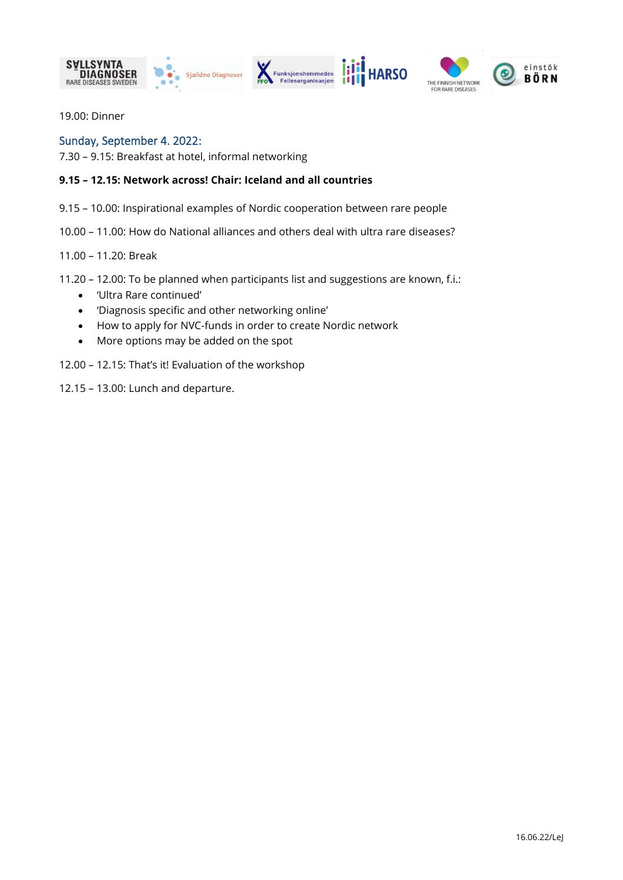







19.00: Dinner

#### Sunday, September 4. 2022:

7.30 – 9.15: Breakfast at hotel, informal networking

#### **9.15 – 12.15: Network across! Chair: Iceland and all countries**

9.15 – 10.00: Inspirational examples of Nordic cooperation between rare people

10.00 – 11.00: How do National alliances and others deal with ultra rare diseases?

11.00 – 11.20: Break

11.20 – 12.00: To be planned when participants list and suggestions are known, f.i.:

- 'Ultra Rare continued'
- 'Diagnosis specific and other networking online'
- How to apply for NVC-funds in order to create Nordic network
- More options may be added on the spot

12.00 – 12.15: That's it! Evaluation of the workshop

12.15 – 13.00: Lunch and departure.